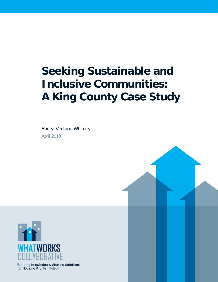# **Seeking Sustainable and Inclusive Communities: A King County Case Study**

Sheryl Verlaine Whitney April 2010



Building Knowledge & Sharing Solutions<br>for Housing & Urban Policy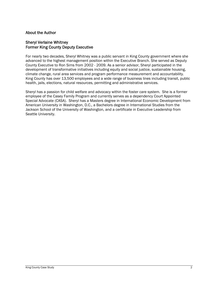#### About the Author

#### Sheryl Verlaine Whitney Former King County Deputy Executive

For nearly two decades, Sheryl Whitney was a public servant in King County government where she advanced to the highest management position within the Executive Branch. She served as Deputy County Executive to Ron Sims from 2002 - 2009. As a senior advisor, Sheryl participated in the development of transformative initiatives including equity and social justice, sustainable housing, climate change, rural area services and program performance measurement and accountability. King County has over 13,500 employees and a wide range of business lines including transit, public health, jails, elections, natural resources, permitting and administrative services.

Sheryl has a passion for child welfare and advocacy within the foster care system. She is a former employee of the Casey Family Program and currently serves as a dependency Court Appointed Special Advocate (CASA). Sheryl has a Masters degree in International Economic Development from American University in Washington, D.C., a Bachelors degree in International Studies from the Jackson School of the University of Washington, and a certificate in Executive Leadership from Seattle University.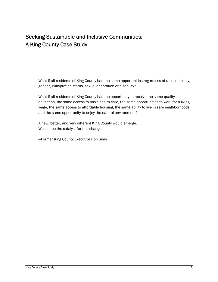# Seeking Sustainable and Inclusive Communities: A King County Case Study

What if all residents of King County had the same opportunities regardless of race, ethnicity, gender, immigration status, sexual orientation or disability?

What if all residents of King County had the opportunity to receive the same quality education, the same access to basic health care, the same opportunities to work for a living wage, the same access to affordable housing, the same ability to live in safe neighborhoods, and the same opportunity to enjoy the natural environment?

A new, better, and very different King County would emerge. We can be the catalyst for this change.

—Former King County Executive Ron Sims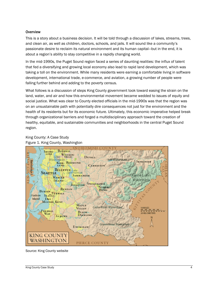#### **Overview**

This is a story about a business decision. It will be told through a discussion of lakes, streams, trees, and clean air, as well as children, doctors, schools, and jails. It will sound like a community's passionate desire to reclaim its natural environment and its human capital—but in the end, it is about a region's ability to stay competitive in a rapidly changing world.

In the mid-1990s, the Puget Sound region faced a series of daunting realities: the influx of talent that fed a diversifying and growing local economy also lead to rapid land development, which was taking a toll on the environment. While many residents were earning a comfortable living in software development, international trade, e-commerce, and aviation, a growing number of people were falling further behind and adding to the poverty census.

What follows is a discussion of steps King County government took toward easing the strain on the land, water, and air and how this environmental movement became wedded to issues of equity and social justice. What was clear to County elected officials in the mid-1990s was that the region was on an unsustainable path with potentially dire consequences not just for the environment and the health of its residents but for its economic future. Ultimately, this economic imperative helped break through organizational barriers and forged a multidisciplinary approach toward the creation of healthy, equitable, and sustainable communities and neighborhoods in the central Puget Sound region.

# King County: A Case Study



Figure 1. King County, Washington

Source: King County website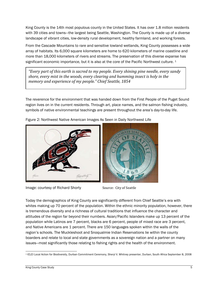King County is the 14th most populous county in the United States. It has over 1.8 million residents with 39 cities and towns—the largest being Seattle, Washington. The County is made up of a diverse landscape of vibrant cities, low-density rural development, healthy farmland, and working forests.

From the Cascade Mountains to rare and sensitive lowland wetlands, King County possesses a wide array of habitats. Its 6,000 square kilometers are home to 620 kilometers of marine coastline and more than 18,000 kilometers of rivers and streams. The preservation of this diverse expanse has significant economic importance, but it is also at the core of the Pacific Northwest culture. <sup>[1](#page-4-0)</sup>

*"Every part of this earth is sacred to my people. Every shining pine needle, every sandy shore, every mist in the woods, every clearing and humming insect is holy in the memory and experience of my people." Chief Seattle, 1854*

The reverence for the environment that was handed down from the First People of the Puget Sound region lives on in the current residents. Through art, place names, and the salmon fishing industry, symbols of native environmental teachings are present throughout the area's day-to-day life.



Figure 2: Northwest Native American Images As Seen in Daily Northwest Life

Image: courtesy of Richard Shorty Source: City of Seattle



Today the demographics of King County are significantly different from Chief Seattle's era with whites making up 70 percent of the population. Within the ethnic minority population, however, there is tremendous diversity and a richness of cultural traditions that influence the character and attitudes of the region far beyond their numbers. Asian/Pacific Islanders make up 13 percent of the population while Latinos are 7 percent, blacks are 6 percent, people of mixed race are 3 percent, and Native Americans are 1 percent. There are 150 languages spoken within the walls of the region's schools. The Muckleshoot and Snoqualmie Indian Reservations lie within the county boarders and relate to local and state governments as a sovereign nation and a partner on many issues—most significantly those relating to fishing rights and the health of the environment.

<span id="page-4-0"></span> 1 ICLEI Local Action for Biodiversity, Durban Commitment Ceremony, Sheryl V. Whitney presenter, Durban, South Africa September 8, 2008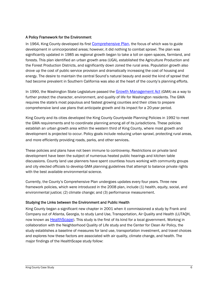#### A Policy Framework for the Environment

In 1964, King County developed its first [Comprehensive Plan](http://www.kingcounty.gov/property/permits/codes/growth/CompPlan.aspx), the focus of which was to guide development in unincorporated areas; however, it did nothing to combat sprawl. The plan was significantly updated in 1985 as regional growth began to take a toll on open spaces, farmland, and forests. This plan identified an urban growth area (UGA), established the Agriculture Production and the Forest Production Districts, and significantly down zoned the rural area. Population growth also drove up the cost of public service provision and dramatically increasing the cost of housing and energy. The desire to maintain the central Sound's natural beauty and avoid the kind of sprawl that had become prevalent in Southern California was also at the heart of the county's planning efforts.

In 1990, the Washington State Legislature passed the [Growth Management Act](http://www.commerce.wa.gov/_CTED/documents/ID_2809_Publications.pdf) (GMA) as a way to further protect the character, environment, and quality of life for Washington residents. The GMA requires the state's most populous and fastest growing counties and their cities to prepare comprehensive land use plans that anticipate growth and its impact for a 20-year period.

King County and its cities developed the King County Countywide Planning Policies in 1992 to meet the GMA requirements and to coordinate planning among all of its jurisdictions. These policies establish an urban growth area within the western third of King County, where most growth and development is projected to occur. Policy goals include reducing urban sprawl, protecting rural areas, and more efficiently providing roads, parks, and other services.

These policies and plans have not been immune to controversy. Restrictions on private land development have been the subject of numerous heated public hearings and kitchen table discussions. County land use planners have spent countless hours working with community groups and city elected officials to develop GMA planning guidelines that attempt to balance private rights with the best available environmental science.

Currently, the County's Comprehensive Plan undergoes updates every four years. Three new framework policies, which were introduced in the 2008 plan, include (1) health, equity, social, and environmental justice; (2) climate change; and (3) performance measurement.

#### Studying the Links between the Environment and Public Health

King County began a significant new chapter in 2001 when it commissioned a study by Frank and Company out of Atlanta, Georgia, to study Land Use, Transportation, Air Quality and Health (LUTAQH, now known as [HealthScape\)](http://your.kingcounty.gov/healthscape/publications.aspx). This study is the first of its kind for a local government. Working in collaboration with the Neighborhood Quality of Life study and the Center for Clean Air Policy, the study establishes a baseline of measures for land use, transportation investment, and travel choices and explores how these factors are associated with air quality, climate change, and health. The major findings of the HealthScape study follow: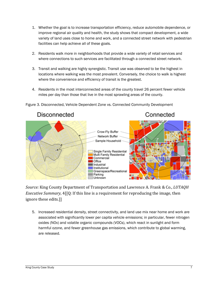- 1. Whether the goal is to increase transportation efficiency, reduce automobile dependence, or improve regional air quality and health, the study shows that compact development, a wide variety of land uses close to home and work, and a connected street network with pedestrian facilities can help achieve all of these goals.
- 2. Residents walk more in neighborhoods that provide a wide variety of retail services and where connections to such services are facilitated through a connected street network.
- 3. Transit and walking are highly synergistic. Transit use was observed to be the highest in locations where walking was the most prevalent. Conversely, the choice to walk is highest where the convenience and efficiency of transit is the greatest.
- 4. Residents in the most interconnected areas of the county travel 26 percent fewer vehicle miles per day than those that live in the most sprawling areas of the county.



Figure 3. Disconnected, Vehicle Dependent Zone vs. Connected Community Development

*Source:* King County Department of Transportation and Lawrence A. Frank & Co., *LUTAQH Executive Summary*, 4[[Q: If this line is a requirement for reproducing the image, then ignore these edits.]]

5. Increased residential density, street connectivity, and land use mix near home and work are associated with significantly lower per capita vehicle emissions; in particular, fewer nitrogen oxides (NOx) and volatile organic compounds (VOCs), which react in sunlight and form harmful ozone, and fewer greenhouse gas emissions, which contribute to global warming, are released.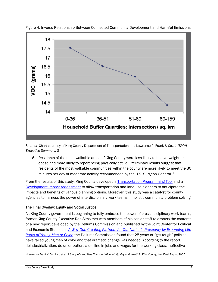

Figure 4. Inverse Relationship Between Connected Community Development and Harmful Emissions

*Source:* Chart courtesy of King County Department of Transportation and Lawrence A. Frank & Co., *LUTAQH Executive Summary,* 8

6. Residents of the most walkable areas of King County were less likely to be overweight or obese and more likely to report being physically active. Preliminary results suggest that residents of the most walkable communities within the county are more likely to meet the 30 minutes per day of moderate activity recommended by the U.S. Surgeon General. <sup>[2](#page-7-0)</sup>

From the results of this study, King County developed a [Transportation Programming Tool](http://www.kingcounty.gov/transportation/HealthScape/Tools.aspx#tpt) and a [Development Impact Assessment](http://www.kingcounty.gov/transportation/HealthScape/Tools.aspx#tpt) to allow transportation and land use planners to anticipate the impacts and benefits of various planning options. Moreover, this study was a catalyst for county agencies to harness the power of interdisciplinary work teams in holistic community problem solving.

## The Final Overlay: Equity and Social Justice

As King County government is beginning to fully embrace the power of cross-disciplinary work teams, former King County Executive Ron Sims met with members of his senior staff to discuss the contents of a new report developed by the Dellums Commission and published by the Joint Center for Political and Economic Studies. In *[A Way Out: Creating Partners for Our Nation's Prosperity by Expanding Life](http://www.jointcenter.org/hpi/files/manual/A%20Way%20Out.pdf)  [Paths of Young Men of Color](http://www.jointcenter.org/hpi/files/manual/A%20Way%20Out.pdf)*, the Dellums Commission found that 25 years of "get tough" policies have failed young men of color and that dramatic change was needed. According to the report, deindustrialization, de-unionization, a decline in jobs and wages for the working class, ineffective

<span id="page-7-0"></span> <sup>2</sup> Lawrence Frank & Co., Inc., et al. A Study of Land Use, Transportation, Air Quality and Health in King County, WA, Final Report 2005.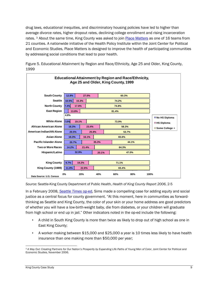drug laws, educational inequities, and discriminatory housing policies have led to higher than average divorce rates, higher dropout rates, declining college enrollment and rising incarceration rates. <sup>[3](#page-8-0)</sup> About the same time, King County was asked to join [Place Matters](http://www.placematters.org/) as one of 16 teams from 21 counties. A nationwide initiative of the Health Policy Institute within the Joint Center for Political and Economic Studies, Place Matters is designed to improve the health of participating communities by addressing social conditions that lead to poor health.



Figure 5. Educational Attainment by Region and Race/Ethnicity, Age 25 and Older, King County, 1999

*Source:* Seattle-King County Department of Public Health, *Health of King County Report 2006*, 2-5

In a February 2008, *[Seattle Times](http://seattletimes.nwsource.com/html/opinion/2004172510_sundayronsims10.html)* op-ed, Sims made a compelling case for adding equity and social justice as a central focus for county government. "At this moment, here in communities as forwardthinking as Seattle and King County, the color of your skin or your home address are good predictors of whether you will have a low-birth-weight baby, die from diabetes, or your children will graduate from high school or end up in jail." Other indicators noted in the op-ed include the following:

- A child in South King County is more than twice as likely to drop out of high school as one in East King County;
- A worker making between \$15,000 and \$25,000 a year is 10 times less likely to have health insurance than one making more than \$50,000 per year;

<span id="page-8-0"></span> <sup>3</sup> A Way Out: Creating Partners for Our Nation's Prosperity by Expanding Life Paths of Young Men of Color, Joint Center for Political and Economic Studies, November 2006.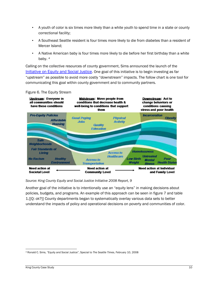- A youth of color is six times more likely than a white youth to spend time in a state or county correctional facility;
- A Southeast Seattle resident is four times more likely to die from diabetes than a resident of Mercer Island;
- A Native American baby is four times more likely to die before her first birthday than a white baby. [4](#page-9-0)

Calling on the collective resources of county government, Sims announced the launch of the [Initiative on Equity and Social Justice](http://www.kingcounty.gov/exec/equity.aspx). One goal of this initiative is to begin investing as far "upstream" as possible to avoid more costly "downstream" impacts. The follow chart is one tool for communicating this goal within county government and to community partners.

#### Figure 6. The Equity Stream



*Source: King County Equity and Social Justice Initiative 2008 Report, 9* 

Another goal of the initiative is to intentionally use an "equity lens" in making decisions about policies, budgets, and programs. An example of this approach can be seen in figure 7 and table 1.[[Q: ok?]] County departments began to systematically overlay various data sets to better understand the impacts of policy and operational decisions on poverty and communities of color.

<span id="page-9-0"></span> 4 Ronald C. Sims, "Equity and Social Justice", Special to *The Seattle Times*, February 10, 2008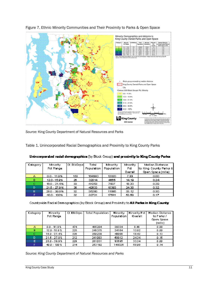

## Figure 7. Ethnic Minority Communities and Their Proximity to Parks & Open Space

*Source:* King County Department of Natural Resources and Parks

Table 1. Unincorporated Racial Demographics and Proximity to King County Parks

| Category | Mnority        | Of BIkGrps | Total      | Minority   | Minority  | Median Distance        |
|----------|----------------|------------|------------|------------|-----------|------------------------|
|          | Pot Range      |            | Population | Population | <b>Fd</b> | to King County Parks & |
|          |                |            |            |            | Overall   | Open Space (mile)      |
| A        | $0.0 - 11.9%$  | 153        | 164580     | 12020      | 7.30      | 0.00.                  |
| Ð        | 12.0 - 15.9%   | 26         | 32814      | 4055       | 14.19     | 0.24                   |
| C.       | $16.0 - 21.4%$ | 33         | 41253      | 750T       | 18.20     | 0.29                   |
| D        | $21.5 - 27.9%$ | -26        | 42633      | 10393      | 24.38     | 0.32                   |
| Е        | $28.0 - 39.9%$ | 22         | 35290      | 11696      | 33.12     | 0.30                   |
|          | 40.0 100%      | 32.        | 132731     | 17541      | 53.59.    | 0.17                   |

|  | Unincorporated racial demographics (by Block Group) and proximity to King County Parks |  |  |  |  |
|--|----------------------------------------------------------------------------------------|--|--|--|--|
|  |                                                                                        |  |  |  |  |

Countywide Racial Demographics (by Block Group) and Proximity to All Perios in King County

| Category | Minority.        | Of BikGross | Total Population | <b>Minority</b> | Minerity Pet [ | Median Distance |
|----------|------------------|-------------|------------------|-----------------|----------------|-----------------|
|          | Pot Range        |             |                  | Population      | Overall        | to Planks 7     |
|          |                  |             |                  |                 |                | Open: Space     |
|          |                  |             |                  |                 |                | (mile)          |
| A.       | $0.0 - 11.9%$    | $-7 - 1$    | 465.204          | 39334           | $-3.46$        | 0.00            |
| B        | $12.0 + 15.9 \%$ | -225        | 245 375          | $-34164$        | 1392           | 0.00            |
| C.       | $6.0 - 21.4\%$   | 226         | 250239           | 46096           | 16.42          | 0.13            |
| Ð        | 215-279%         | 212         | 241993           | 58912           | 2434           | 0.15            |
| Е        | 28.0 39.9%       | 229         | 281031           | 93695           | 3334           | 0.00            |
| F        | 40.0 100%        | 214         | 250 192          | 149326          | 5898           | 0.14            |

*Source: King County Department of Natural Resources and Parks*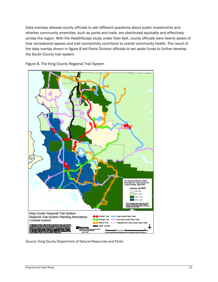Data overlays allowed county officials to ask different questions about public investments and whether community amenities, such as parks and trails, are distributed equitably and effectively across the region. With the HealthScape study under their belt, county officials were keenly aware of how recreational spaces and trail connectivity contribute to overall community health. The result of the data overlay shown in figure 8 led Parks Division officials to set aside funds to further develop the South County trail system.

Figure 8. The King County Regional Trail System



*Source:* King County Department of Natural Resources and Parks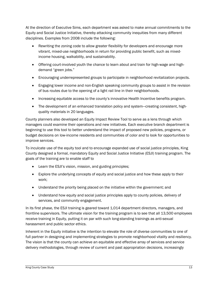At the direction of Executive Sims, each department was asked to make annual commitments to the Equity and Social Justice Initiative, thereby attacking community inequities from many different disciplines. Examples from 2008 include the following:

- Rewriting the zoning code to allow greater flexibility for developers and encourage more vibrant, mixed-use neighborhoods in return for providing public benefit, such as mixedincome housing, walkability, and sustainability.
- Offering court-involved youth the chance to learn about and train for high-wage and highdemand "green jobs."
- Encouraging underrepresented groups to participate in neighborhood revitalization projects.
- Engaging lower income and non-English speaking community groups to assist in the revision of bus routes due to the opening of a light rail line in their neighborhoods.
- Increasing equitable access to the county's innovative Health Incentive benefits program.
- The development of an enhanced translation policy and system—creating consistent, highquality materials in 20 languages.

County planners also developed an Equity Impact Review Tool to serve as a lens through which managers could examine their operations and new initiatives. Each executive branch department is beginning to use this tool to better understand the impact of proposed new policies, programs, or budget decisions on low-income residents and communities of color and to look for opportunities to improve services.

To inculcate use of the equity tool and to encourage expanded use of social justice principles, King County designed a formal, mandatory Equity and Social Justice Initiative (ESJI) training program. The goals of the training are to enable staff to

- Learn the ESJI's vision, mission, and guiding principles;
- Explore the underlying concepts of equity and social justice and how these apply to their work;
- Understand the priority being placed on the initiative within the government; and
- Understand how equity and social justice principles apply to county policies, delivery of services, and community engagement.

In its first phase, the ESJI training is geared toward 1,014 department directors, managers, and frontline supervisors. The ultimate vision for the training program is to see that all 13,500 employees receive training in Equity, putting it on par with such long-standing trainings as anti-sexual harassment and public sector ethics.

Inherent in the Equity initiative is the intention to elevate the role of diverse communities to one of full partner in designing and implementing strategies to promote neighborhood vitality and resiliency. The vision is that the county can achieve an equitable and effective array of services and service delivery methodologies, through review of current and past appropriation decisions, increasingly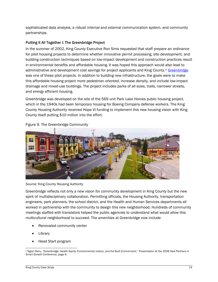sophisticated data analysis, a robust internal and external communication system, and community partnerships.

## Putting It All Together I: The Greenbridge Project

In the summer of 2002, King County Executive Ron Sims requested that staff prepare an ordinance for pilot housing projects to determine whether innovative permit processing, site development, and building construction techniques based on low-impact development and construction practices result in environmental benefits and affordable housing. It was hoped this approach would also lead to administrative and development cost savings for project applicants and King County.<sup>[5](#page-13-0)</sup> [Greenbridge](http://www.kcha.org/HOPEVI/index.html) was one of these pilot projects. In addition to building new infrastructure, the goals were to make this affordable housing project more pedestrian oriented, increase density, and include low-impact drainage and mixed-use buildings. The project includes parks of all sizes, trails, narrower streets, and energy efficient housing.

Greenbridge was developed on the site of the 569 unit Park Lake Homes public housing project, which in the 1940s had been temporary housing for Boeing Company defense workers. The King County Housing Authority received Hope VI funding to implement this new housing vision with King County itself putting \$10 million into the effort.



Figure 9. The Greenbridge Community

*Source:* King County Housing Authority

Greenbridge reflects not only a new vision for community development in King County but the new spirit of multidisciplinary collaboration. Permitting officials, the Housing Authority, transportation engineers, park planners, the school district, and the Health and Human Services departments all worked in partnership with the community to design this new neighborhood. Hundreds of community meetings staffed with translators helped the public agencies to understand what would allow this multicultural neighborhood to succeed. The amenities at Greenbridge now include

- Renovated community center
- **Library**
- Head Start program

<span id="page-13-0"></span> 5 Ngozi Oleru, "Greenbridge: Health Equity, Environmental Justice, and the Built Environment," Presentation at the 2008 New Partners in Smart Growth Conference, page 6.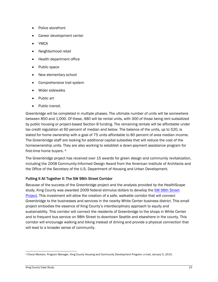- Police storefront
- Career development center
- YMCA
- Neighborhood retail
- Health department office
- Public space
- New elementary school
- Comprehensive trail system
- Wider sidewalks
- Public art
- Public transit.

Greenbridge will be completed in multiple phases. The ultimate number of units will be somewhere between 850 and 1,000. Of these, 480 will be rental units, with 300 of those being rent subsidized by public housing or project-based Section 8 funding. The remaining rentals will be affordable under tax credit regulation at 60 percent of median and below. The balance of the units, up to 520, is slated for home ownership with a goal of 75 units affordable to 80 percent of area median income. The Greenbridge staff are looking for additional capital subsidies that will reduce the cost of the homeownership units. They are also working to establish a down-payment assistance program for first-time home buyers. [6](#page-14-0)

The Greenbridge project has received over 15 awards for green design and community revitalization, including the 2008 Community-Informed Design Award from the American Institute of Architects and the Office of the Secretary of the U.S. Department of Housing and Urban Development.

#### Putting It All Together II: The SW 98th Street Corridor

Because of the success of the Greenbridge project and the analysis provided by the HealthScape study, King County was awarded 2009 federal stimulus dollars to develop the [SW 98th Street](http://www.kingcounty.gov/exec/whitecenter.aspx)  [Project](http://www.kingcounty.gov/exec/whitecenter.aspx). This investment will allow the creation of a safe, walkable corridor that will connect Greenbridge to the businesses and services in the nearby White Center business district. This small project embodies the essence of King County's interdisciplinary approach to equity and sustainability. This corridor will connect the residents of Greenbridge to the shops in White Center and to frequent bus service on 98th Street to downtown Seattle and elsewhere in the county. This corridor will encourage walking and biking instead of driving and provide a physical connection that will lead to a broader sense of community.

<span id="page-14-0"></span> 6 Cheryl Markam, Program Manager, King County Housing and Community Development Program, e-mail, January 5, 2010.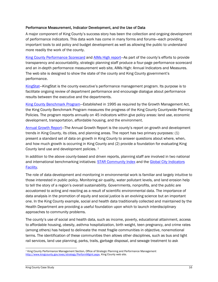#### Performance Measurement, Indicator Development, and the Use of Data

A major component of King County's success story has been the collection and ongoing development of performance indicators. This data work has come in many forms and forums—each providing important tools to aid policy and budget development as well as allowing the public to understand more readily the work of the county.

[King County Performance Scorecard](http://your.kingcounty.gov/aimshigh/documents/pdf/2008-KC-Aimshigh-scorecard-web.pdf) and [AIMs High report—](http://your.kingcounty.gov/aimshigh/index.asp)As part of the county's efforts to provide transparency and accountability, strategic planning staff produce a four-page performance scorecard and an in-depth performance measurement web site, AIMs High: Annual Indicators and Measures. The web site is designed to show the state of the county and King County government's performance.

KingStat–KingStat is the county executive's performance management program. Its purpose is to facilitate ongoing review of department performance and encourage dialogue about performance results between the executive and the departments.

[King County Benchmark Program—](http://www.kingcounty.gov/exec/strategy/PerformMgmt/BenchmarkProgram.aspx)Established in 1995 as required by the Growth Management Act, the King County Benchmark Program measures the progress of the King County Countywide Planning Policies. The program reports annually on 45 indicators within give policy areas: land use, economic development, transportation, affordable housing, and the environment.

[Annual Growth Report—](http://www.kingcounty.gov/exec/strategy/PerformMgmt/AGR.aspx)The Annual Growth Report is the county's report on growth and development trends in King County, its cities, and planning areas. The report has two primary purposes: (1) present a standard set of data on growth in King County to answer questions about where, when, and how much growth is occurring in King County and (2) provide a foundation for evaluating King County land use and development policies. [7](#page-15-0)

In addition to the above county-based and driven reports, planning staff are involved in two national and international benchmarking initiatives: **STAR Community Index** and the Global City Indicators [Facility.](http://www.cityindicators.org/)

The role of data development and monitoring in environmental work is familiar and largely intuitive to those interested in public policy. Monitoring air quality, water pollutant levels, and land erosion help to tell the story of a region's overall sustainability. Governments, nonprofits, and the public are accustomed to acting and reacting as a result of scientific environmental data. The importance of data analysis in the promotion of equity and social justice is an evolving science but an important one. In the King County example, social and health data traditionally collected and maintained by the Health Department are providing a useful foundation upon which to launch interdisciplinary approaches to community problems.

The county's use of social and health data, such as income, poverty, educational attainment, access to affordable housing, obesity, asthma hospitalization, birth weight, teen pregnancy, and crime rates (among others) has helped to delineate the most fragile communities in objective, nonemotional terms. The identification of these communities then allows other disciplines, such as bus and light rail services, land use planning, parks, trails, garbage disposal, and sewage treatment to ask

<span id="page-15-0"></span> 7 King County Performance Management Section, Office of Strategic Planning and Performance Management <http://www.kingcounty.gov/exec/strategy/PerformMgmt.aspx>, King County web site.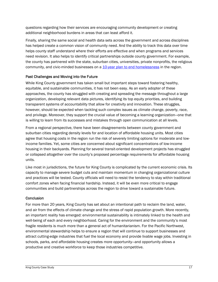questions regarding how their services are encouraging community development or creating additional neighborhood burdens in areas that can least afford it.

Finally, sharing the same social and health data sets across the government and across disciplines has helped create a common vision of community need. And the ability to track this data over time helps county staff understand where their efforts are effective and when programs and services need revision. It also helps to identify critical partnerships outside county government. For example, the county has partnered with the state, suburban cities, universities, private nonprofits, the religious community, and civic-minded businesses on a [10-year plan to end homelessness](http://www.cehkc.org/default.aspx) in the region.

#### Past Challenges and Moving into the Future

While King County government has taken small but important steps toward fostering healthy, equitable, and sustainable communities, it has not been easy. As an early adopter of these approaches, the county has struggled with creating and spreading the message throughout a large organization, developing relevant data pictures, identifying its top equity priorities, and building transparent systems of accountability that allow for creativity and innovation. These struggles, however, should be expected when tackling such complex issues as climate change, poverty, race, and privilege. Moreover, they support the crucial value of becoming a learning organization—one that is willing to learn from its successes and mistakes through open communication at all levels.

From a regional perspective, there have been disagreements between county government and suburban cities regarding density levels for and location of affordable housing units. Most cities agree that housing costs in the region run the risk of severely limiting options for moderate and lowincome families. Yet, some cities are concerned about significant concentrations of low-income housing in their backyards. Planning for several transit-oriented development projects has struggled or collapsed altogether over the county's proposed percentage requirements for affordable housing units.

Like most in jurisdictions, the future for King County is complicated by the current economic crisis. Its capacity to manage severe budget cuts and maintain momentum in changing organizational culture and practices will be tested. County officials will need to resist the tendency to stay within traditional comfort zones when facing financial hardship. Instead, it will be even more critical to engage communities and build partnerships across the region to drive toward a sustainable future.

#### **Conclusion**

For more than 20 years, King County has set about an intentional path to reclaim the land, water, and air from the effects of climate change and the stress of rapid population growth. More recently, an important reality has emerged: environmental sustainability is intimately linked to the health and well-being of each and every neighborhood. Caring for the environment and the community's most fragile residents is much more than a general act of humanitarianism. For the Pacific Northwest, environmental stewardship helps to ensure a region that will continue to support businesses and attract cutting-edge industries that fuel the local economy and provide livable wage jobs. Investing in schools, parks, and affordable housing creates more opportunity—and opportunity allows a productive and creative workforce to keep those industries competitive.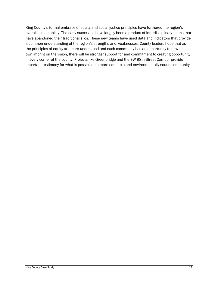King County's formal embrace of equity and social justice principles have furthered the region's overall sustainability. The early successes have largely been a product of interdisciplinary teams that have abandoned their traditional silos. These new teams have used data and indicators that provide a common understanding of the region's strengths and weaknesses. County leaders hope that as the principles of equity are more understood and each community has an opportunity to provide its own imprint on the vision, there will be stronger support for and commitment to creating opportunity in every corner of the county. Projects like Greenbridge and the SW 98th Street Corridor provide important testimony for what is possible in a more equitable and environmentally sound community.